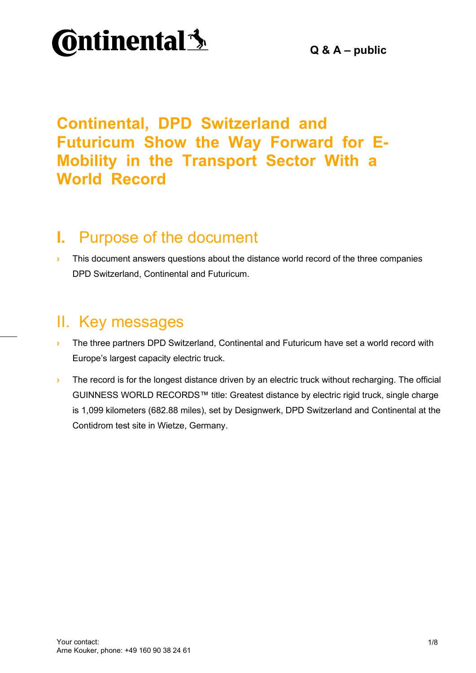

## **Continental, DPD Switzerland and Futuricum Show the Way Forward for E-Mobility in the Transport Sector With a World Record**

## **I.** Purpose of the document

**I** This document answers questions about the distance world record of the three companies DPD Switzerland, Continental and Futuricum.

## II. Key messages

- **I** The three partners DPD Switzerland, Continental and Futuricum have set a world record with Europe's largest capacity electric truck.
- **I** The record is for the longest distance driven by an electric truck without recharging. The official GUINNESS WORLD RECORDS™ title: Greatest distance by electric rigid truck, single charge is 1,099 kilometers (682.88 miles), set by Designwerk, DPD Switzerland and Continental at the Contidrom test site in Wietze, Germany.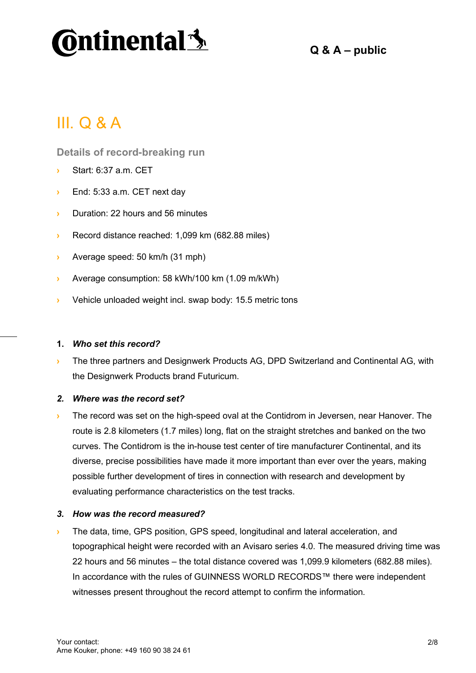

**Q & A – public**

## III. Q & A

**Details of record-breaking run**

- **›** Start: 6:37 a.m. CET
- **›** End: 5:33 a.m. CET next day
- **›** Duration: 22 hours and 56 minutes
- **›** Record distance reached: 1,099 km (682.88 miles)
- **›** Average speed: 50 km/h (31 mph)
- **›** Average consumption: 58 kWh/100 km (1.09 m/kWh)
- **›** Vehicle unloaded weight incl. swap body: 15.5 metric tons

#### **1.** *Who set this record?*

**›** The three partners and Designwerk Products AG, DPD Switzerland and Continental AG, with the Designwerk Products brand Futuricum.

#### *2. Where was the record set?*

**›** The record was set on the high-speed oval at the Contidrom in Jeversen, near Hanover. The route is 2.8 kilometers (1.7 miles) long, flat on the straight stretches and banked on the two curves. The Contidrom is the in-house test center of tire manufacturer Continental, and its diverse, precise possibilities have made it more important than ever over the years, making possible further development of tires in connection with research and development by evaluating performance characteristics on the test tracks.

#### *3. How was the record measured?*

**›** The data, time, GPS position, GPS speed, longitudinal and lateral acceleration, and topographical height were recorded with an Avisaro series 4.0. The measured driving time was 22 hours and 56 minutes – the total distance covered was 1,099.9 kilometers (682.88 miles). In accordance with the rules of GUINNESS WORLD RECORDS™ there were independent witnesses present throughout the record attempt to confirm the information.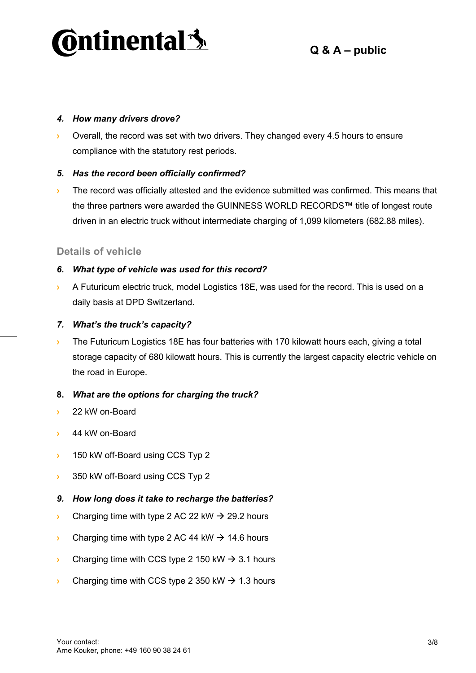

#### *4. How many drivers drove?*

**›** Overall, the record was set with two drivers. They changed every 4.5 hours to ensure compliance with the statutory rest periods.

#### *5. Has the record been officially confirmed?*

**I** The record was officially attested and the evidence submitted was confirmed. This means that the three partners were awarded the GUINNESS WORLD RECORDS™ title of longest route driven in an electric truck without intermediate charging of 1,099 kilometers (682.88 miles).

#### **Details of vehicle**

#### *6. What type of vehicle was used for this record?*

**›** A Futuricum electric truck, model Logistics 18E, was used for the record. This is used on a daily basis at DPD Switzerland.

#### *7. What's the truck's capacity?*

**I** The Futuricum Logistics 18E has four batteries with 170 kilowatt hours each, giving a total storage capacity of 680 kilowatt hours. This is currently the largest capacity electric vehicle on the road in Europe.

#### **8.** *What are the options for charging the truck?*

- **›** 22 kW on-Board
- **›** 44 kW on-Board
- $\cdot$  150 kW off-Board using CCS Typ 2
- **350 kW off-Board using CCS Typ 2**

#### *9. How long does it take to recharge the batteries?*

- **Charging time with type 2 AC 22 kW**  $\rightarrow$  **29.2 hours**
- **Example 1** Charging time with type 2 AC 44 kW  $\rightarrow$  14.6 hours
- **EXECUTE:** Charging time with CCS type 2 150 kW  $\rightarrow$  3.1 hours
- **EXECUTE:** Charging time with CCS type 2 350 kW  $\rightarrow$  1.3 hours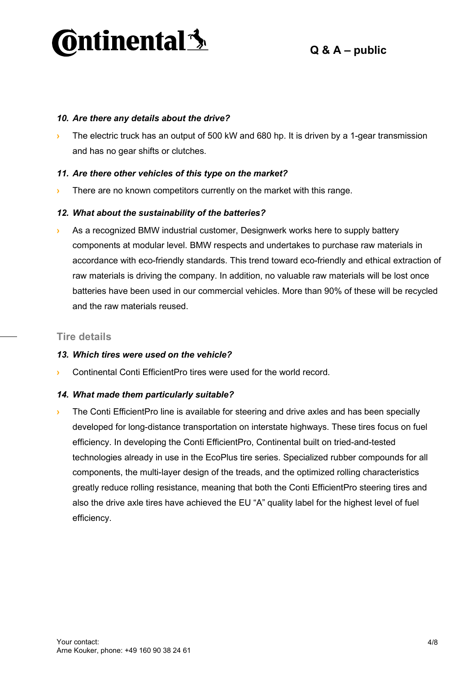

#### *10. Are there any details about the drive?*

**›** The electric truck has an output of 500 kW and 680 hp. It is driven by a 1-gear transmission and has no gear shifts or clutches.

#### *11. Are there other vehicles of this type on the market?*

**›** There are no known competitors currently on the market with this range.

#### *12. What about the sustainability of the batteries?*

**›** As a recognized BMW industrial customer, Designwerk works here to supply battery components at modular level. BMW respects and undertakes to purchase raw materials in accordance with eco-friendly standards. This trend toward eco-friendly and ethical extraction of raw materials is driving the company. In addition, no valuable raw materials will be lost once batteries have been used in our commercial vehicles. More than 90% of these will be recycled and the raw materials reused.

#### **Tire details**

#### *13. Which tires were used on the vehicle?*

**›** Continental Conti EfficientPro tires were used for the world record.

#### *14. What made them particularly suitable?*

**I** The Conti EfficientPro line is available for steering and drive axles and has been specially developed for long-distance transportation on interstate highways. These tires focus on fuel efficiency. In developing the Conti EfficientPro, Continental built on tried-and-tested technologies already in use in the EcoPlus tire series. Specialized rubber compounds for all components, the multi-layer design of the treads, and the optimized rolling characteristics greatly reduce rolling resistance, meaning that both the Conti EfficientPro steering tires and also the drive axle tires have achieved the EU "A" quality label for the highest level of fuel efficiency.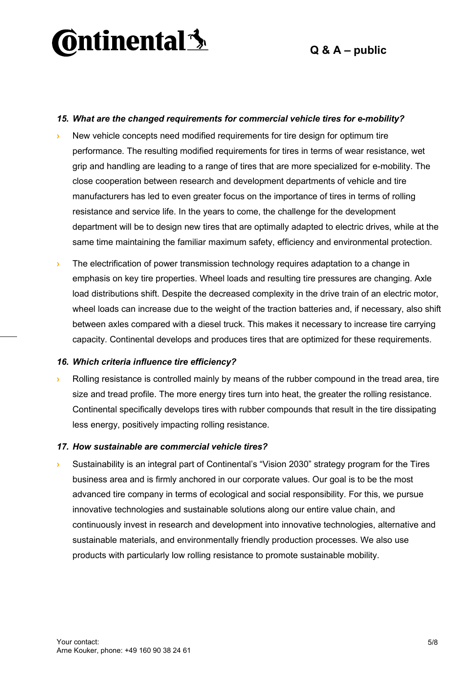

#### *15. What are the changed requirements for commercial vehicle tires for e-mobility?*

- **›** New vehicle concepts need modified requirements for tire design for optimum tire performance. The resulting modified requirements for tires in terms of wear resistance, wet grip and handling are leading to a range of tires that are more specialized for e-mobility. The close cooperation between research and development departments of vehicle and tire manufacturers has led to even greater focus on the importance of tires in terms of rolling resistance and service life. In the years to come, the challenge for the development department will be to design new tires that are optimally adapted to electric drives, while at the same time maintaining the familiar maximum safety, efficiency and environmental protection.
- **I** The electrification of power transmission technology requires adaptation to a change in emphasis on key tire properties. Wheel loads and resulting tire pressures are changing. Axle load distributions shift. Despite the decreased complexity in the drive train of an electric motor, wheel loads can increase due to the weight of the traction batteries and, if necessary, also shift between axles compared with a diesel truck. This makes it necessary to increase tire carrying capacity. Continental develops and produces tires that are optimized for these requirements.

#### *16. Which criteria influence tire efficiency?*

**›** Rolling resistance is controlled mainly by means of the rubber compound in the tread area, tire size and tread profile. The more energy tires turn into heat, the greater the rolling resistance. Continental specifically develops tires with rubber compounds that result in the tire dissipating less energy, positively impacting rolling resistance.

#### *17. How sustainable are commercial vehicle tires?*

**›** Sustainability is an integral part of Continental's "Vision 2030" strategy program for the Tires business area and is firmly anchored in our corporate values. Our goal is to be the most advanced tire company in terms of ecological and social responsibility. For this, we pursue innovative technologies and sustainable solutions along our entire value chain, and continuously invest in research and development into innovative technologies, alternative and sustainable materials, and environmentally friendly production processes. We also use products with particularly low rolling resistance to promote sustainable mobility.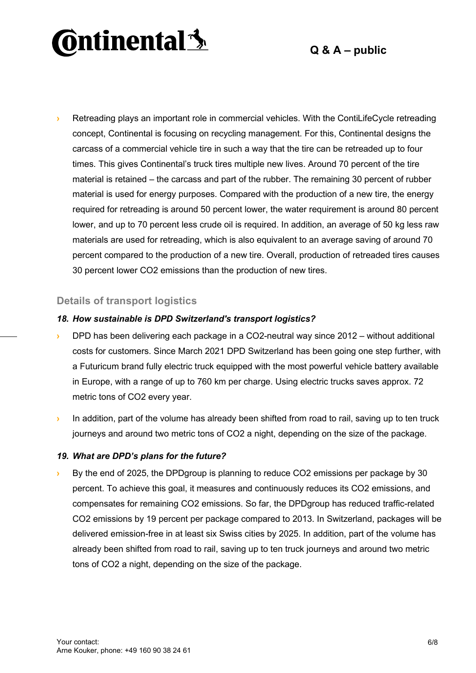# **Ontinental 3**

### **Q & A – public**

**›** Retreading plays an important role in commercial vehicles. With the ContiLifeCycle retreading concept, Continental is focusing on recycling management. For this, Continental designs the carcass of a commercial vehicle tire in such a way that the tire can be retreaded up to four times. This gives Continental's truck tires multiple new lives. Around 70 percent of the tire material is retained – the carcass and part of the rubber. The remaining 30 percent of rubber material is used for energy purposes. Compared with the production of a new tire, the energy required for retreading is around 50 percent lower, the water requirement is around 80 percent lower, and up to 70 percent less crude oil is required. In addition, an average of 50 kg less raw materials are used for retreading, which is also equivalent to an average saving of around 70 percent compared to the production of a new tire. Overall, production of retreaded tires causes 30 percent lower CO2 emissions than the production of new tires.

#### **Details of transport logistics**

#### *18. How sustainable is DPD Switzerland's transport logistics?*

- **›** DPD has been delivering each package in a CO2-neutral way since 2012 without additional costs for customers. Since March 2021 DPD Switzerland has been going one step further, with a Futuricum brand fully electric truck equipped with the most powerful vehicle battery available in Europe, with a range of up to 760 km per charge. Using electric trucks saves approx. 72 metric tons of CO2 every year.
- **In addition, part of the volume has already been shifted from road to rail, saving up to ten truck** journeys and around two metric tons of CO2 a night, depending on the size of the package.

#### *19. What are DPD's plans for the future?*

**›** By the end of 2025, the DPDgroup is planning to reduce CO2 emissions per package by 30 percent. To achieve this goal, it measures and continuously reduces its CO2 emissions, and compensates for remaining CO2 emissions. So far, the DPDgroup has reduced traffic-related CO2 emissions by 19 percent per package compared to 2013. In Switzerland, packages will be delivered emission-free in at least six Swiss cities by 2025. In addition, part of the volume has already been shifted from road to rail, saving up to ten truck journeys and around two metric tons of CO2 a night, depending on the size of the package.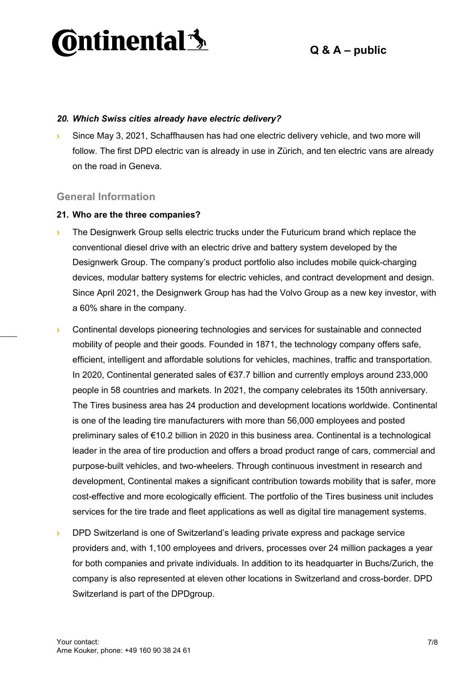

#### *20. Which Swiss cities already have electric delivery?*

**›** Since May 3, 2021, Schaffhausen has had one electric delivery vehicle, and two more will follow. The first DPD electric van is already in use in Zürich, and ten electric vans are already on the road in Geneva.

#### **General Information**

#### **21. Who are the three companies?**

- **›** The Designwerk Group sells electric trucks under the Futuricum brand which replace the conventional diesel drive with an electric drive and battery system developed by the Designwerk Group. The company's product portfolio also includes mobile quick-charging devices, modular battery systems for electric vehicles, and contract development and design. Since April 2021, the Designwerk Group has had the Volvo Group as a new key investor, with a 60% share in the company.
- **›** Continental develops pioneering technologies and services for sustainable and connected mobility of people and their goods. Founded in 1871, the technology company offers safe, efficient, intelligent and affordable solutions for vehicles, machines, traffic and transportation. In 2020, Continental generated sales of €37.7 billion and currently employs around 233,000 people in 58 countries and markets. In 2021, the company celebrates its 150th anniversary. The Tires business area has 24 production and development locations worldwide. Continental is one of the leading tire manufacturers with more than 56,000 employees and posted preliminary sales of €10.2 billion in 2020 in this business area. Continental is a technological leader in the area of tire production and offers a broad product range of cars, commercial and purpose-built vehicles, and two-wheelers. Through continuous investment in research and development, Continental makes a significant contribution towards mobility that is safer, more cost-effective and more ecologically efficient. The portfolio of the Tires business unit includes services for the tire trade and fleet applications as well as digital tire management systems.
- **›** DPD Switzerland is one of Switzerland's leading private express and package service providers and, with 1,100 employees and drivers, processes over 24 million packages a year for both companies and private individuals. In addition to its headquarter in Buchs/Zurich, the company is also represented at eleven other locations in Switzerland and cross-border. DPD Switzerland is part of the DPDgroup.